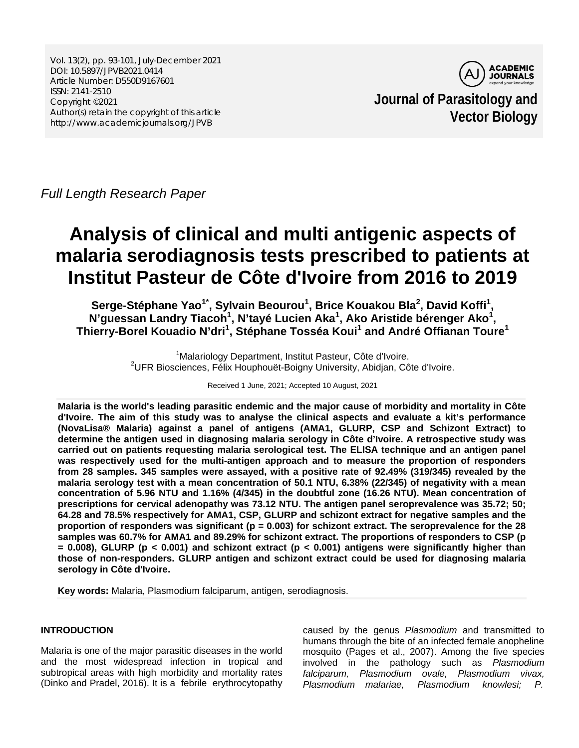Vol. 13(2), pp. 93-101, July-December 2021 DOI: 10.5897/JPVB2021.0414 Article Number: D550D9167601 ISSN: 2141-2510 Copyright ©2021 Author(s) retain the copyright of this article http://www.academicjournals.org/JPVB



**Journal of Parasitology and Vector Biology**

*Full Length Research Paper*

# **Analysis of clinical and multi antigenic aspects of malaria serodiagnosis tests prescribed to patients at Institut Pasteur de Côte d'Ivoire from 2016 to 2019**

Serge-Stéphane Yao<sup>1\*</sup>, Sylvain Beourou<sup>1</sup>, Brice Kouakou Bla<sup>2</sup>, David Koffi<sup>1</sup>, N'guessan Landry Tiacoh<sup>1</sup>, N'tayé Lucien Aka<sup>1</sup>, Ako Aristide bérenger Ako<sup>1</sup>, **Thierry-Borel Kouadio N'dri<sup>1</sup> , Stéphane Tosséa Koui<sup>1</sup> and André Offianan Toure1**

> <sup>1</sup> Malariology Department, Institut Pasteur, Côte d'Ivoire.<br><sup>2</sup> JER Bioscionese, Eélix Houpbouët Boigny University, Abidion, Câ <sup>2</sup>UFR Biosciences, Félix Houphouët-Boigny University, Abidjan, Côte d'Ivoire.

> > Received 1 June, 2021; Accepted 10 August, 2021

**Malaria is the world's leading parasitic endemic and the major cause of morbidity and mortality in Côte d'Ivoire. The aim of this study was to analyse the clinical aspects and evaluate a kit's performance (NovaLisa® Malaria) against a panel of antigens (AMA1, GLURP, CSP and Schizont Extract) to determine the antigen used in diagnosing malaria serology in Côte d'Ivoire. A retrospective study was carried out on patients requesting malaria serological test. The ELISA technique and an antigen panel was respectively used for the multi-antigen approach and to measure the proportion of responders from 28 samples. 345 samples were assayed, with a positive rate of 92.49% (319/345) revealed by the malaria serology test with a mean concentration of 50.1 NTU, 6.38% (22/345) of negativity with a mean concentration of 5.96 NTU and 1.16% (4/345) in the doubtful zone (16.26 NTU). Mean concentration of prescriptions for cervical adenopathy was 73.12 NTU. The antigen panel seroprevalence was 35.72; 50; 64.28 and 78.5% respectively for AMA1, CSP, GLURP and schizont extract for negative samples and the proportion of responders was significant (p = 0.003) for schizont extract. The seroprevalence for the 28 samples was 60.7% for AMA1 and 89.29% for schizont extract. The proportions of responders to CSP (p = 0.008), GLURP (p < 0.001) and schizont extract (p < 0.001) antigens were significantly higher than those of non-responders. GLURP antigen and schizont extract could be used for diagnosing malaria serology in Côte d'Ivoire.**

**Key words:** Malaria, Plasmodium falciparum, antigen, serodiagnosis.

# **INTRODUCTION**

Malaria is one of the major parasitic diseases in the world and the most widespread infection in tropical and subtropical areas with high morbidity and mortality rates (Dinko and Pradel, 2016). It is a febrile erythrocytopathy caused by the genus *Plasmodium* and transmitted to humans through the bite of an infected female anopheline mosquito (Pages et al., 2007). Among the five species involved in the pathology such as *Plasmodium falciparum, Plasmodium ovale, Plasmodium vivax, Plasmodium malariae, Plasmodium knowlesi; P.*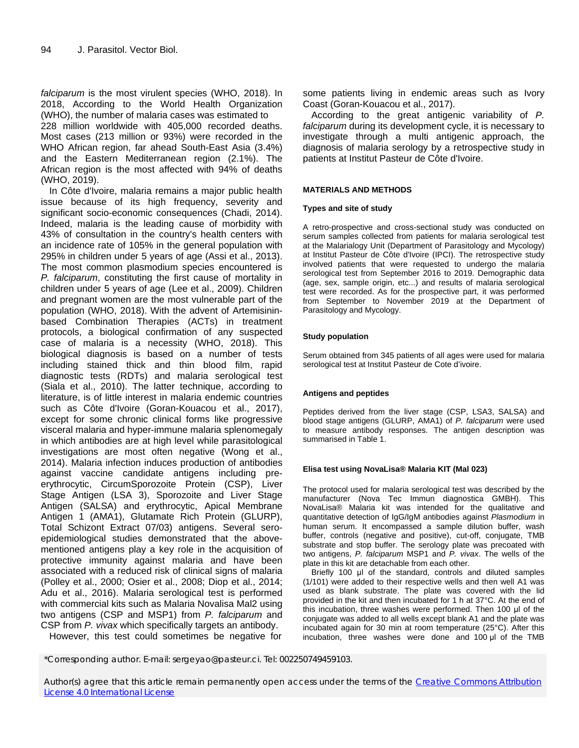*falciparum* is the most virulent species (WHO, 2018). In 2018, According to the World Health Organization (WHO), the number of malaria cases was estimated to 228 million worldwide with 405,000 recorded deaths. Most cases (213 million or 93%) were recorded in the WHO African region, far ahead South-East Asia (3.4%) and the Eastern Mediterranean region (2.1%). The African region is the most affected with 94% of deaths (WHO, 2019).

In Côte d'Ivoire, malaria remains a major public health issue because of its high frequency, severity and significant socio-economic consequences (Chadi, 2014). Indeed, malaria is the leading cause of morbidity with 43% of consultation in the country's health centers with an incidence rate of 105% in the general population with 295% in children under 5 years of age (Assi et al., 2013). The most common plasmodium species encountered is *P. falciparum*, constituting the first cause of mortality in children under 5 years of age (Lee et al., 2009). Children and pregnant women are the most vulnerable part of the population (WHO, 2018). With the advent of Artemisininbased Combination Therapies (ACTs) in treatment protocols, a biological confirmation of any suspected case of malaria is a necessity (WHO, 2018). This biological diagnosis is based on a number of tests including stained thick and thin blood film, rapid diagnostic tests (RDTs) and malaria serological test (Siala et al., 2010). The latter technique, according to literature, is of little interest in malaria endemic countries such as Côte d'Ivoire (Goran-Kouacou et al., 2017), except for some chronic clinical forms like progressive visceral malaria and hyper-immune malaria splenomegaly in which antibodies are at high level while parasitological investigations are most often negative (Wong et al., 2014). Malaria infection induces production of antibodies against vaccine candidate antigens including preerythrocytic, CircumSporozoite Protein (CSP), Liver Stage Antigen (LSA 3), Sporozoite and Liver Stage Antigen (SALSA) and erythrocytic, Apical Membrane Antigen 1 (AMA1), Glutamate Rich Protein (GLURP), Total Schizont Extract 07/03) antigens. Several seroepidemiological studies demonstrated that the abovementioned antigens play a key role in the acquisition of protective immunity against malaria and have been associated with a reduced risk of clinical signs of malaria (Polley et al., 2000; Osier et al., 2008; Diop et al., 2014; Adu et al., 2016). Malaria serological test is performed with commercial kits such as Malaria Novalisa Mal2 using two antigens (CSP and MSP1) from *P. falciparum* and CSP from *P. vivax* which specifically targets an antibody.

However, this test could sometimes be negative for

some patients living in endemic areas such as Ivory Coast (Goran-Kouacou et al., 2017).

According to the great antigenic variability of *P. falciparum* during its development cycle, it is necessary to investigate through a multi antigenic approach, the diagnosis of malaria serology by a retrospective study in patients at Institut Pasteur de Côte d'Ivoire.

# **MATERIALS AND METHODS**

#### **Types and site of study**

A retro-prospective and cross-sectional study was conducted on serum samples collected from patients for malaria serological test at the Malarialogy Unit (Department of Parasitology and Mycology) at Institut Pasteur de Côte d'Ivoire (IPCI). The retrospective study involved patients that were requested to undergo the malaria serological test from September 2016 to 2019. Demographic data (age, sex, sample origin, etc...) and results of malaria serological test were recorded. As for the prospective part, it was performed from September to November 2019 at the Department of Parasitology and Mycology.

# **Study population**

Serum obtained from 345 patients of all ages were used for malaria serological test at Institut Pasteur de Cote d'ivoire.

#### **Antigens and peptides**

Peptides derived from the liver stage (CSP, LSA3, SALSA) and blood stage antigens (GLURP, AMA1) of *P. falciparum* were used to measure antibody responses. The antigen description was summarised in Table 1.

#### **Elisa test using NovaLisa® Malaria KIT (Mal 023)**

The protocol used for malaria serological test was described by the manufacturer (Nova Tec Immun diagnostica GMBH). This NovaLisa® Malaria kit was intended for the qualitative and quantitative detection of IgG/IgM antibodies against *Plasmodium* in human serum. It encompassed a sample dilution buffer, wash buffer, controls (negative and positive), cut-off, conjugate, TMB substrate and stop buffer. The serology plate was precoated with two antigens, *P. falciparum* MSP1 and *P. vivax*. The wells of the plate in this kit are detachable from each other.

Briefly 100 μl of the standard, controls and diluted samples (1/101) were added to their respective wells and then well A1 was used as blank substrate. The plate was covered with the lid provided in the kit and then incubated for 1 h at 37°C. At the end of this incubation, three washes were performed. Then 100 μl of the conjugate was added to all wells except blank A1 and the plate was incubated again for 30 min at room temperature (25°C). After this incubation, three washes were done and 100 μl of the TMB

<sup>\*</sup>Corresponding author. E-mail: sergeyao@pasteur.ci. Tel: 002250749459103.

Author(s) agree that this article remain permanently open access under the terms of the Creative Commons Attribution [License 4.0 International License](http://creativecommons.org/licenses/by/4.0/deed.en_US)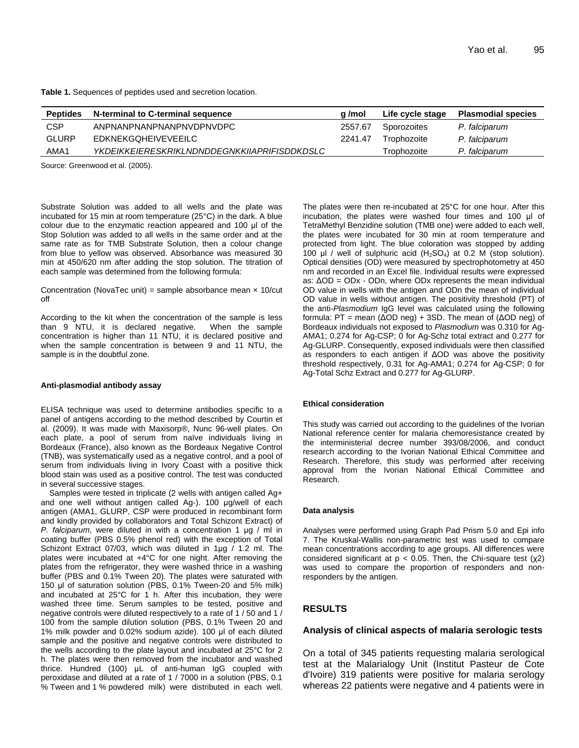**Table 1.** Sequences of peptides used and secretion location.

| <b>Peptides</b> | N-terminal to C-terminal sequence                   | a /mol  | Life cycle stage | <b>Plasmodial species</b> |
|-----------------|-----------------------------------------------------|---------|------------------|---------------------------|
| <b>CSP</b>      | ANPNANPNANPNANPNVDPNVDPC                            | 2557.67 | Sporozoites      | P. falciparum             |
| <b>GLURP</b>    | EDKNEKGOHEIVEVEEILC                                 | 2241.47 | Trophozoite      | P. falciparum             |
| AMA1            | <i>YKDEIKKEIERESKRIKLNDNDDEGNKKIIAPRIFISDDKDSLC</i> |         | Trophozoite      | P. falciparum             |

Source: Greenwood et al. (2005).

Substrate Solution was added to all wells and the plate was incubated for 15 min at room temperature (25°C) in the dark. A blue colour due to the enzymatic reaction appeared and 100 μl of the Stop Solution was added to all wells in the same order and at the same rate as for TMB Substrate Solution, then a colour change from blue to yellow was observed. Absorbance was measured 30 min at 450/620 nm after adding the stop solution. The titration of each sample was determined from the following formula:

Concentration (NovaTec unit) = sample absorbance mean  $\times$  10/cut off

According to the kit when the concentration of the sample is less than 9 NTU, it is declared negative. When the sample than 9 NTU, it is declared negative. concentration is higher than 11 NTU, it is declared positive and when the sample concentration is between 9 and 11 NTU, the sample is in the doubtful zone.

#### **Anti-plasmodial antibody assay**

ELISA technique was used to determine antibodies specific to a panel of antigens according to the method described by Courtin et al. (2009). It was made with Maxisorp®, Nunc 96-well plates. On each plate, a pool of serum from naïve individuals living in Bordeaux (France), also known as the Bordeaux Negative Control (TNB), was systematically used as a negative control, and a pool of serum from individuals living in Ivory Coast with a positive thick blood stain was used as a positive control. The test was conducted in several successive stages.

Samples were tested in triplicate (2 wells with antigen called Ag+ and one well without antigen called Ag-). 100 μg/well of each antigen (AMA1, GLURP, CSP were produced in recombinant form and kindly provided by collaborators and Total Schizont Extract) of *P. falciparum*, were diluted in with a concentration 1 μg / ml in coating buffer (PBS 0.5% phenol red) with the exception of Total Schizont Extract 07/03, which was diluted in 1µg / 1.2 ml. The plates were incubated at +4°C for one night. After removing the plates from the refrigerator, they were washed thrice in a washing buffer (PBS and 0.1% Tween 20). The plates were saturated with 150 μl of saturation solution (PBS, 0.1% Tween-20 and 5% milk) and incubated at 25°C for 1 h. After this incubation, they were washed three time. Serum samples to be tested, positive and negative controls were diluted respectively to a rate of 1 / 50 and 1 / 100 from the sample dilution solution (PBS, 0.1% Tween 20 and 1% milk powder and 0.02% sodium azide). 100 μl of each diluted sample and the positive and negative controls were distributed to the wells according to the plate layout and incubated at 25°C for 2 h. The plates were then removed from the incubator and washed thrice. Hundred (100) μL of anti-human IgG coupled with peroxidase and diluted at a rate of 1 / 7000 in a solution (PBS, 0.1 % Tween and 1 % powdered milk) were distributed in each well.

The plates were then re-incubated at 25°C for one hour. After this incubation, the plates were washed four times and 100 μl of TetraMethyl Benzidine solution (TMB one) were added to each well, the plates were incubated for 30 min at room temperature and protected from light. The blue coloration was stopped by adding 100 μl / well of sulphuric acid  $(H<sub>2</sub>SO<sub>4</sub>)$  at 0.2 M (stop solution). Optical densities (OD) were measured by spectrophotometry at 450 nm and recorded in an Excel file. Individual results were expressed as: ΔOD = ODx - ODn, where ODx represents the mean individual OD value in wells with the antigen and ODn the mean of individual OD value in wells without antigen. The positivity threshold (PT) of the anti-*Plasmodium* IgG level was calculated using the following formula: PT = mean (ΔOD neg) + 3SD. The mean of (ΔOD neg) of Bordeaux individuals not exposed to *Plasmodium* was 0.310 for Ag-AMA1; 0.274 for Ag-CSP; 0 for Ag-Schz total extract and 0.277 for Ag-GLURP. Consequently, exposed individuals were then classified as responders to each antigen if ΔOD was above the positivity threshold respectively, 0.31 for Ag-AMA1; 0.274 for Ag-CSP; 0 for Ag-Total Schz Extract and 0.277 for Ag-GLURP.

#### **Ethical consideration**

This study was carried out according to the guidelines of the Ivorian National reference center for malaria chemoresistance created by the interministerial decree number 393/08/2006, and conduct research according to the Ivorian National Ethical Committee and Research. Therefore, this study was performed after receiving approval from the Ivorian National Ethical Committee and Research.

#### **Data analysis**

Analyses were performed using Graph Pad Prism 5.0 and Epi info 7. The Kruskal-Wallis non-parametric test was used to compare mean concentrations according to age groups. All differences were considered significant at  $p < 0.05$ . Then, the Chi-square test ( $\chi$ 2) was used to compare the proportion of responders and nonresponders by the antigen.

# **RESULTS**

#### **Analysis of clinical aspects of malaria serologic tests**

On a total of 345 patients requesting malaria serological test at the Malarialogy Unit (Institut Pasteur de Cote d'Ivoire) 319 patients were positive for malaria serology whereas 22 patients were negative and 4 patients were in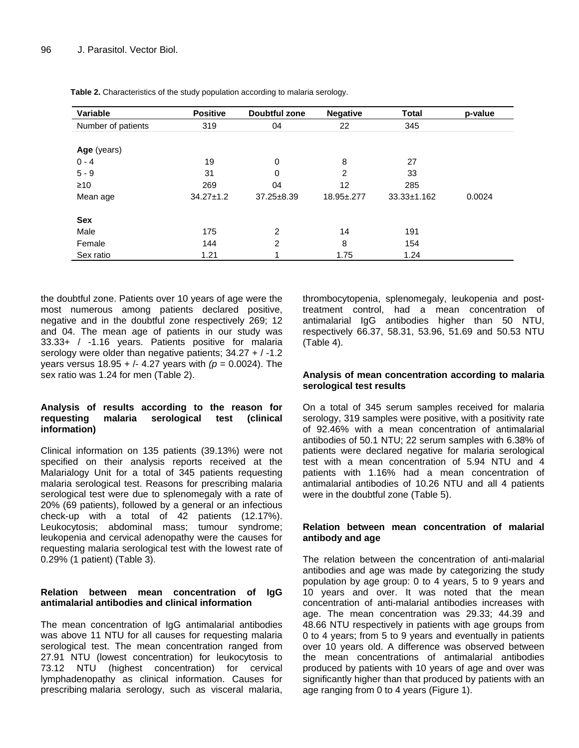| Variable           | <b>Positive</b> | Doubtful zone    | <b>Negative</b> | <b>Total</b>      | p-value |
|--------------------|-----------------|------------------|-----------------|-------------------|---------|
| Number of patients | 319             | 04               | 22              | 345               |         |
| Age (years)        |                 |                  |                 |                   |         |
| $0 - 4$            | 19              | 0                | 8               | 27                |         |
| $5 - 9$            | 31              | 0                | 2               | 33                |         |
| $\geq 10$          | 269             | 04               | 12              | 285               |         |
| Mean age           | $34.27 \pm 1.2$ | $37.25 \pm 8.39$ | 18.95±,277      | $33.33 \pm 1.162$ | 0.0024  |
| Sex                |                 |                  |                 |                   |         |
| Male               | 175             | $\overline{2}$   | 14              | 191               |         |
| Female             | 144             | $\overline{2}$   | 8               | 154               |         |
| Sex ratio          | 1.21            |                  | 1.75            | 1.24              |         |

**Table 2.** Characteristics of the study population according to malaria serology.

the doubtful zone. Patients over 10 years of age were the most numerous among patients declared positive, negative and in the doubtful zone respectively 269; 12 and 04. The mean age of patients in our study was 33.33+ / -1.16 years. Patients positive for malaria serology were older than negative patients; 34.27 + / -1.2 years versus 18.95 + /- 4.27 years with *(p* = 0.0024). The sex ratio was 1.24 for men (Table 2).

# **Analysis of results according to the reason for**  malaria serological test (clinical **information)**

Clinical information on 135 patients (39.13%) were not specified on their analysis reports received at the Malarialogy Unit for a total of 345 patients requesting malaria serological test. Reasons for prescribing malaria serological test were due to splenomegaly with a rate of 20% (69 patients), followed by a general or an infectious check-up with a total of 42 patients (12.17%). Leukocytosis; abdominal mass; tumour syndrome; leukopenia and cervical adenopathy were the causes for requesting malaria serological test with the lowest rate of 0.29% (1 patient) (Table 3).

# **Relation between mean concentration of IgG antimalarial antibodies and clinical information**

The mean concentration of IgG antimalarial antibodies was above 11 NTU for all causes for requesting malaria serological test. The mean concentration ranged from 27.91 NTU (lowest concentration) for leukocytosis to 73.12 NTU (highest concentration) for cervical lymphadenopathy as clinical information. Causes for prescribing malaria serology, such as visceral malaria,

thrombocytopenia, splenomegaly, leukopenia and posttreatment control, had a mean concentration of antimalarial IgG antibodies higher than 50 NTU, respectively 66.37, 58.31, 53.96, 51.69 and 50.53 NTU (Table 4).

# **Analysis of mean concentration according to malaria serological test results**

On a total of 345 serum samples received for malaria serology, 319 samples were positive, with a positivity rate of 92.46% with a mean concentration of antimalarial antibodies of 50.1 NTU; 22 serum samples with 6.38% of patients were declared negative for malaria serological test with a mean concentration of 5.94 NTU and 4 patients with 1.16% had a mean concentration of antimalarial antibodies of 10.26 NTU and all 4 patients were in the doubtful zone (Table 5).

# **Relation between mean concentration of malarial antibody and age**

The relation between the concentration of anti-malarial antibodies and age was made by categorizing the study population by age group: 0 to 4 years, 5 to 9 years and 10 years and over. It was noted that the mean concentration of anti-malarial antibodies increases with age. The mean concentration was 29.33; 44.39 and 48.66 NTU respectively in patients with age groups from 0 to 4 years; from 5 to 9 years and eventually in patients over 10 years old. A difference was observed between the mean concentrations of antimalarial antibodies produced by patients with 10 years of age and over was significantly higher than that produced by patients with an age ranging from 0 to 4 years (Figure 1).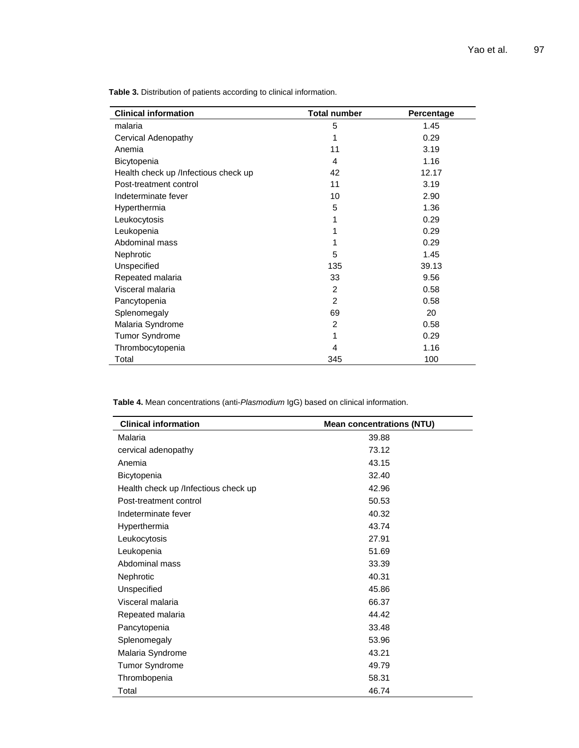**Clinical information Total number Percentage** malaria 5 1.45 Cervical Adenopathy **1** 0.29 Anemia 11 3.19 Bicytopenia 1.16 Health check up /Infectious check up 42 42 12.17 Post-treatment control 11 3.19 Indeterminate fever 10 2.90 Hyperthermia 1.36 Leukocytosis 1 0.29 Leukopenia  $1$  0.29 Abdominal mass 0.29 Nephrotic 5 1.45 Unspecified 39.13 Repeated malaria 33 3 9.56 Visceral malaria 2 0.58 Pancytopenia 2 0.58 Splenomegaly 20 Malaria Syndrome 2 and 2 0.58 Tumor Syndrome **1** 0.29 Thrombocytopenia 1.16 Total 345 100

**Table 3.** Distribution of patients according to clinical information.

**Table 4.** Mean concentrations (anti-*Plasmodium* IgG) based on clinical information.

| <b>Clinical information</b>          | <b>Mean concentrations (NTU)</b> |  |  |  |
|--------------------------------------|----------------------------------|--|--|--|
| Malaria                              | 39.88                            |  |  |  |
| cervical adenopathy                  | 73.12                            |  |  |  |
| Anemia                               | 43.15                            |  |  |  |
| Bicytopenia                          | 32.40                            |  |  |  |
| Health check up /Infectious check up | 42.96                            |  |  |  |
| Post-treatment control               | 50.53                            |  |  |  |
| Indeterminate fever                  | 40.32                            |  |  |  |
| Hyperthermia                         | 43.74                            |  |  |  |
| Leukocytosis                         | 27.91                            |  |  |  |
| Leukopenia                           | 51.69                            |  |  |  |
| Abdominal mass                       | 33.39                            |  |  |  |
| Nephrotic                            | 40.31                            |  |  |  |
| Unspecified                          | 45.86                            |  |  |  |
| Visceral malaria                     | 66.37                            |  |  |  |
| Repeated malaria                     | 44.42                            |  |  |  |
| Pancytopenia                         | 33.48                            |  |  |  |
| Splenomegaly                         | 53.96                            |  |  |  |
| Malaria Syndrome                     | 43.21                            |  |  |  |
| <b>Tumor Syndrome</b>                | 49.79                            |  |  |  |
| Thrombopenia                         | 58.31                            |  |  |  |
| Total                                | 46.74                            |  |  |  |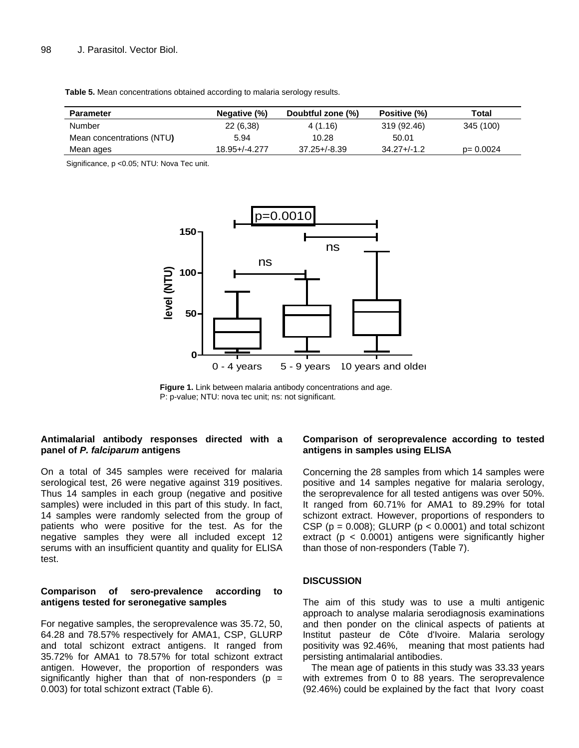**Table 5.** Mean concentrations obtained according to malaria serology results.

| <b>Parameter</b>          | Negative (%)       | Doubtful zone (%) | Positive (%)     | Total        |
|---------------------------|--------------------|-------------------|------------------|--------------|
| Number                    | 22 (6,38)          | 4(1.16)           | 319 (92.46)      | 345 (100)    |
| Mean concentrations (NTU) | 5.94               | 10.28             | 50.01            |              |
| Mean ages                 | $18.95 + (-4.277)$ | $37.25 + (-8.39)$ | $34.27 + (-1.2)$ | $p = 0.0024$ |

Significance, p <0.05; NTU: Nova Tec unit.



**Figure 1.** Link between malaria antibody concentrations and age. P: p-value; NTU: nova tec unit; ns: not significant.

# **Antimalarial antibody responses directed with a panel of** *P. falciparum* **antigens**

On a total of 345 samples were received for malaria serological test, 26 were negative against 319 positives. Thus 14 samples in each group (negative and positive samples) were included in this part of this study. In fact, 14 samples were randomly selected from the group of patients who were positive for the test. As for the negative samples they were all included except 12 serums with an insufficient quantity and quality for ELISA test.

## **Comparison of sero-prevalence according to antigens tested for seronegative samples**

For negative samples, the seroprevalence was 35.72, 50, 64.28 and 78.57% respectively for AMA1, CSP, GLURP and total schizont extract antigens. It ranged from 35.72% for AMA1 to 78.57% for total schizont extract antigen. However, the proportion of responders was significantly higher than that of non-responders ( $p =$ 0.003) for total schizont extract (Table 6).

# **Comparison of seroprevalence according to tested antigens in samples using ELISA**

Concerning the 28 samples from which 14 samples were positive and 14 samples negative for malaria serology, the seroprevalence for all tested antigens was over 50%. It ranged from 60.71% for AMA1 to 89.29% for total schizont extract. However, proportions of responders to CSP ( $p = 0.008$ ); GLURP ( $p < 0.0001$ ) and total schizont extract ( $p < 0.0001$ ) antigens were significantly higher than those of non-responders (Table 7).

#### **DISCUSSION**

The aim of this study was to use a multi antigenic approach to analyse malaria serodiagnosis examinations and then ponder on the clinical aspects of patients at Institut pasteur de Côte d'Ivoire. Malaria serology positivity was 92.46%, meaning that most patients had persisting antimalarial antibodies.

The mean age of patients in this study was 33.33 years with extremes from 0 to 88 years. The seroprevalence (92.46%) could be explained by the fact that Ivory coast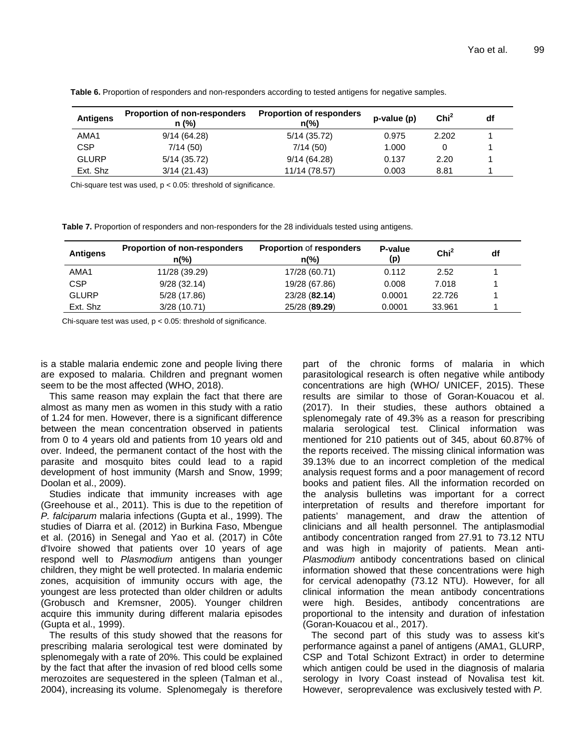| <b>Antigens</b> | <b>Proportion of non-responders</b><br>n (%) | <b>Proportion of responders</b><br>$n\frac{6}{6}$ | $p-value(p)$ | Chi <sup>2</sup> | df |
|-----------------|----------------------------------------------|---------------------------------------------------|--------------|------------------|----|
| AMA1            | 9/14(64.28)                                  | 5/14 (35.72)                                      | 0.975        | 2.202            |    |
| <b>CSP</b>      | 7/14(50)                                     | 7/14(50)                                          | 1.000        |                  |    |
| <b>GLURP</b>    | 5/14 (35.72)                                 | 9/14(64.28)                                       | 0.137        | 2.20             |    |
| Ext. Shz        | 3/14(21.43)                                  | 11/14 (78.57)                                     | 0.003        | 8.81             |    |

**Table 6.** Proportion of responders and non-responders according to tested antigens for negative samples.

Chi-square test was used,  $p < 0.05$ : threshold of significance.

**Table 7.** Proportion of responders and non-responders for the 28 individuals tested using antigens.

| <b>Antigens</b> | <b>Proportion of non-responders</b><br>$n\frac{6}{6}$ | <b>Proportion of responders</b><br>n(%) | P-value<br>(p) | Chi <sup>2</sup> | df |
|-----------------|-------------------------------------------------------|-----------------------------------------|----------------|------------------|----|
| AMA1            | 11/28 (39.29)                                         | 17/28 (60.71)                           | 0.112          | 2.52             |    |
| <b>CSP</b>      | 9/28(32.14)                                           | 19/28 (67.86)                           | 0.008          | 7.018            |    |
| <b>GLURP</b>    | 5/28 (17.86)                                          | 23/28 (82.14)                           | 0.0001         | 22.726           |    |
| Ext. Shz        | 3/28(10.71)                                           | 25/28 (89.29)                           | 0.0001         | 33.961           |    |

Chi-square test was used,  $p < 0.05$ : threshold of significance.

is a stable malaria endemic zone and people living there are exposed to malaria. Children and pregnant women seem to be the most affected (WHO, 2018).

This same reason may explain the fact that there are almost as many men as women in this study with a ratio of 1.24 for men. However, there is a significant difference between the mean concentration observed in patients from 0 to 4 years old and patients from 10 years old and over. Indeed, the permanent contact of the host with the parasite and mosquito bites could lead to a rapid development of host immunity (Marsh and Snow, 1999; Doolan et al., 2009).

Studies indicate that immunity increases with age (Greehouse et al., 2011). This is due to the repetition of *P. falciparum* malaria infections (Gupta et al., 1999). The studies of Diarra et al. (2012) in Burkina Faso, Mbengue et al. (2016) in Senegal and Yao et al. (2017) in Côte d'Ivoire showed that patients over 10 years of age respond well to *Plasmodium* antigens than younger children, they might be well protected. In malaria endemic zones, acquisition of immunity occurs with age, the youngest are less protected than older children or adults (Grobusch and Kremsner, 2005). Younger children acquire this immunity during different malaria episodes (Gupta et al., 1999).

The results of this study showed that the reasons for prescribing malaria serological test were dominated by splenomegaly with a rate of 20%. This could be explained by the fact that after the invasion of red blood cells some merozoites are sequestered in the spleen (Talman et al., 2004), increasing its volume. Splenomegaly is therefore

part of the chronic forms of malaria in which parasitological research is often negative while antibody concentrations are high (WHO/ UNICEF, 2015). These results are similar to those of Goran-Kouacou et al. (2017). In their studies, these authors obtained a splenomegaly rate of 49.3% as a reason for prescribing malaria serological test. Clinical information was mentioned for 210 patients out of 345, about 60.87% of the reports received. The missing clinical information was 39.13% due to an incorrect completion of the medical analysis request forms and a poor management of record books and patient files. All the information recorded on the analysis bulletins was important for a correct interpretation of results and therefore important for patients' management, and draw the attention of clinicians and all health personnel. The antiplasmodial antibody concentration ranged from 27.91 to 73.12 NTU and was high in majority of patients. Mean anti-*Plasmodium* antibody concentrations based on clinical information showed that these concentrations were high for cervical adenopathy (73.12 NTU). However, for all clinical information the mean antibody concentrations were high. Besides, antibody concentrations are proportional to the intensity and duration of infestation (Goran-Kouacou et al., 2017).

The second part of this study was to assess kit's performance against a panel of antigens (AMA1, GLURP, CSP and Total Schizont Extract) in order to determine which antigen could be used in the diagnosis of malaria serology in Ivory Coast instead of Novalisa test kit. However, seroprevalence was exclusively tested with *P.*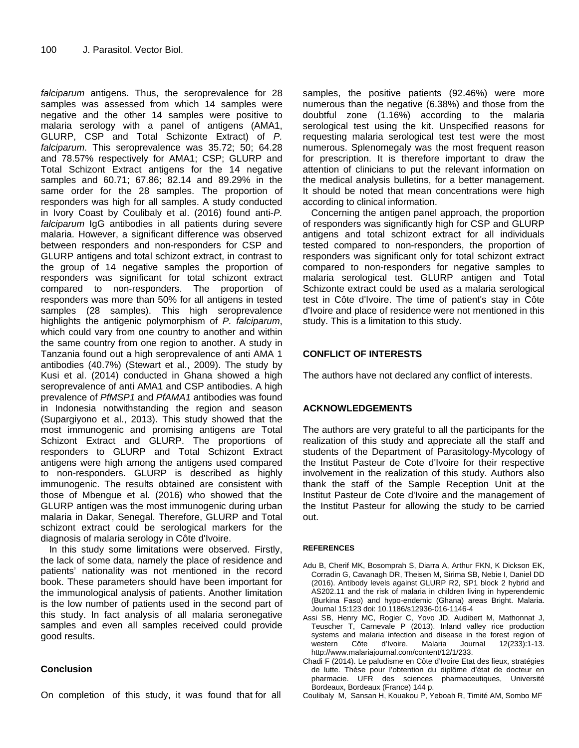*falciparum* antigens. Thus, the seroprevalence for 28 samples was assessed from which 14 samples were negative and the other 14 samples were positive to malaria serology with a panel of antigens (AMA1, GLURP, CSP and Total Schizonte Extract) of *P. falciparum*. This seroprevalence was 35.72; 50; 64.28 and 78.57% respectively for AMA1; CSP; GLURP and Total Schizont Extract antigens for the 14 negative samples and 60.71; 67.86; 82.14 and 89.29% in the same order for the 28 samples. The proportion of responders was high for all samples. A study conducted in Ivory Coast by Coulibaly et al. (2016) found anti-*P. falciparum* IgG antibodies in all patients during severe malaria. However, a significant difference was observed between responders and non-responders for CSP and GLURP antigens and total schizont extract, in contrast to the group of 14 negative samples the proportion of responders was significant for total schizont extract compared to non-responders. The proportion of responders was more than 50% for all antigens in tested samples (28 samples). This high seroprevalence highlights the antigenic polymorphism of *P. falciparum*, which could vary from one country to another and within the same country from one region to another. A study in Tanzania found out a high seroprevalence of anti AMA 1 antibodies (40.7%) (Stewart et al., 2009). The study by Kusi et al. (2014) conducted in Ghana showed a high seroprevalence of anti AMA1 and CSP antibodies. A high prevalence of *PfMSP1* and *PfAMA1* antibodies was found in Indonesia notwithstanding the region and season (Supargiyono et al., 2013). This study showed that the most immunogenic and promising antigens are Total Schizont Extract and GLURP. The proportions of responders to GLURP and Total Schizont Extract antigens were high among the antigens used compared to non-responders. GLURP is described as highly immunogenic. The results obtained are consistent with those of Mbengue et al. (2016) who showed that the GLURP antigen was the most immunogenic during urban malaria in Dakar, Senegal. Therefore, GLURP and Total schizont extract could be serological markers for the diagnosis of malaria serology in Côte d'Ivoire.

In this study some limitations were observed. Firstly, the lack of some data, namely the place of residence and patients' nationality was not mentioned in the record book. These parameters should have been important for the immunological analysis of patients. Another limitation is the low number of patients used in the second part of this study. In fact analysis of all malaria seronegative samples and even all samples received could provide good results.

# **Conclusion**

On completion of this study, it was found that for all

samples, the positive patients (92.46%) were more numerous than the negative (6.38%) and those from the doubtful zone (1.16%) according to the malaria serological test using the kit. Unspecified reasons for requesting malaria serological test test were the most numerous. Splenomegaly was the most frequent reason for prescription. It is therefore important to draw the attention of clinicians to put the relevant information on the medical analysis bulletins, for a better management. It should be noted that mean concentrations were high according to clinical information.

Concerning the antigen panel approach, the proportion of responders was significantly high for CSP and GLURP antigens and total schizont extract for all individuals tested compared to non-responders, the proportion of responders was significant only for total schizont extract compared to non-responders for negative samples to malaria serological test. GLURP antigen and Total Schizonte extract could be used as a malaria serological test in Côte d'Ivoire. The time of patient's stay in Côte d'Ivoire and place of residence were not mentioned in this study. This is a limitation to this study.

# **CONFLICT OF INTERESTS**

The authors have not declared any conflict of interests.

# **ACKNOWLEDGEMENTS**

The authors are very grateful to all the participants for the realization of this study and appreciate all the staff and students of the Department of Parasitology-Mycology of the Institut Pasteur de Cote d'Ivoire for their respective involvement in the realization of this study. Authors also thank the staff of the Sample Reception Unit at the Institut Pasteur de Cote d'Ivoire and the management of the Institut Pasteur for allowing the study to be carried out.

#### **REFERENCES**

- Adu B, Cherif MK, Bosomprah S, Diarra A, Arthur FKN, K Dickson EK, Corradin G, Cavanagh DR, Theisen M, Sirima SB, Nebie I, Daniel DD (2016). Antibody levels against GLURP R2, SP1 block 2 hybrid and AS202.11 and the risk of malaria in children living in hyperendemic (Burkina Faso) and hypo-endemic (Ghana) areas Bright. Malaria. Journal 15:123 doi: 10.1186/s12936-016-1146-4
- Assi SB, Henry MC, Rogier C, Yovo JD, Audibert M, Mathonnat J, Teuscher T, Carnevale P (2013). Inland valley rice production systems and malaria infection and disease in the forest region of western Côte d'Ivoire. Malaria Journal 12(233):1-13. western Côte d'Ivoire. Malaria Journal 12(233):1-13. http://www.malariajournal.com/content/12/1/233.
- Chadi F (2014). Le paludisme en Côte d'Ivoire Etat des lieux, stratégies de lutte. Thèse pour l'obtention du diplôme d'état de docteur en pharmacie. UFR des sciences pharmaceutiques, Université Bordeaux, Bordeaux (France) 144 p.
- Coulibaly M, Sansan H, Kouakou P, Yeboah R, Timité AM, Sombo MF